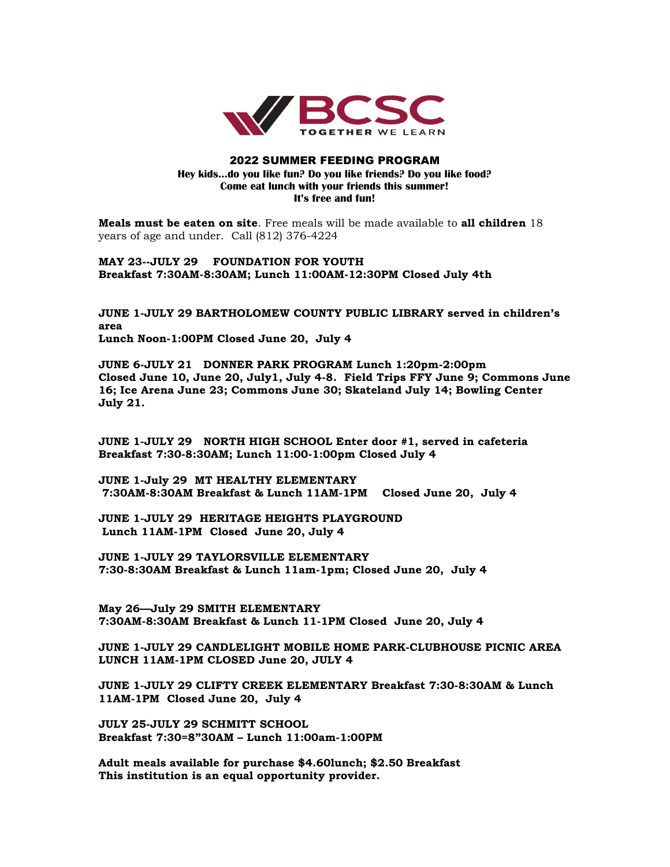

## 2022 SUMMER FEEDING PROGRAM **Hey kids…do you like fun? Do you like friends? Do you like food? Come eat lunch with your friends this summer! It's free and fun!**

**Meals must be eaten on site**. Free meals will be made available to **all children** 18 years of age and under. Call (812) 376-4224

**MAY 23--JULY 29 FOUNDATION FOR YOUTH Breakfast 7:30AM-8:30AM; Lunch 11:00AM-12:30PM Closed July 4th**

**JUNE 1-JULY 29 BARTHOLOMEW COUNTY PUBLIC LIBRARY served in children's area Lunch Noon-1:00PM Closed June 20, July 4**

**JUNE 6-JULY 21 DONNER PARK PROGRAM Lunch 1:20pm-2:00pm Closed June 10, June 20, July1, July 4-8. Field Trips FFY June 9; Commons June 16; Ice Arena June 23; Commons June 30; Skateland July 14; Bowling Center July 21.**

**JUNE 1-JULY 29 NORTH HIGH SCHOOL Enter door #1, served in cafeteria Breakfast 7:30-8:30AM; Lunch 11:00-1:00pm Closed July 4**

**JUNE 1-July 29 MT HEALTHY ELEMENTARY 7:30AM-8:30AM Breakfast & Lunch 11AM-1PM Closed June 20, July 4**

**JUNE 1-JULY 29 HERITAGE HEIGHTS PLAYGROUND Lunch 11AM-1PM Closed June 20, July 4**

**JUNE 1-JULY 29 TAYLORSVILLE ELEMENTARY 7:30-8:30AM Breakfast & Lunch 11am-1pm; Closed June 20, July 4**

**May 26—July 29 SMITH ELEMENTARY 7:30AM-8:30AM Breakfast & Lunch 11-1PM Closed June 20, July 4**

**JUNE 1-JULY 29 CANDLELIGHT MOBILE HOME PARK-CLUBHOUSE PICNIC AREA LUNCH 11AM-1PM CLOSED June 20, JULY 4**

**JUNE 1-JULY 29 CLIFTY CREEK ELEMENTARY Breakfast 7:30-8:30AM & Lunch 11AM-1PM Closed June 20, July 4**

**JULY 25-JULY 29 SCHMITT SCHOOL Breakfast 7:30=8"30AM – Lunch 11:00am-1:00PM**

**Adult meals available for purchase \$4.60lunch; \$2.50 Breakfast This institution is an equal opportunity provider.**